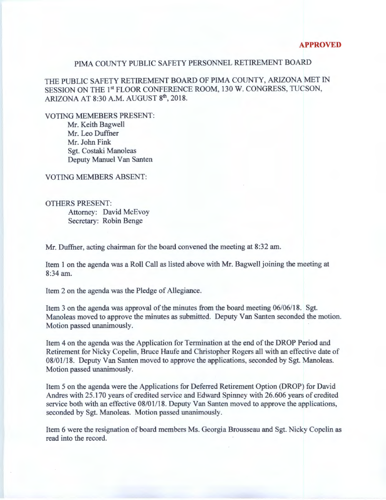## PIMA COUNTY PUBLIC SAFETY PERSONNEL RETIREMENT BOARD

THE PUBLIC SAFETY RETIREMENT BOARD OF PIMA COUNTY, ARIZONA MET IN SESSION ON THE 1st FLOOR CONFERENCE ROOM, 130 W. CONGRESS, TUCSON, ARIZONA AT 8:30 A.M. AUGUST 8<sup>th</sup>, 2018.

VOTING MEMEBERS PRESENT:

Mr. Keith Bagwell Mr. Leo Duffner Mr. John Fink Sgt. Costaki Manoleas Deputy Manuel Van Santen

VOTING MEMBERS ABSENT:

OTHERS PRESENT: Attorney: David McEvoy Secretary: Robin Benge

Mr. Duffner, acting chairman for the board convened the meeting at 8:32 am.

Item 1 on the agenda was a Roll Call as listed above with Mr. Bagwell joining the meeting at 8:34am.

Item 2 on the agenda was the Pledge of Allegiance.

Item 3 on the agenda was approval of the minutes from the board meeting 06/06/18. Sgt. Manoleas moved to approve the minutes as submitted. Deputy Van Santen seconded the motion. Motion passed unanimously.

Item 4 on the agenda was the Application for Termination at the end of the DROP Period and Retirement for Nicky Copelin, Bruce Haufe and Christopher Rogers all with an effective date of 08/01118. Deputy Van Santen moved to approve the applications, seconded by Sgt. Manoleas. Motion passed unanimously.

Item 5 on the agenda were the Applications for Deferred Retirement Option (DROP) for David Andres with 25.170 years of credited service and Edward Spinney with 26.606 years of credited service both with an effective 08/01/18. Deputy Van Santen moved to approve the applications, seconded by Sgt. Manoleas. Motion passed unanimously.

Item 6 were the resignation of board members Ms. Georgia Brousseau and Sgt. Nicky Copelin as read into the record.